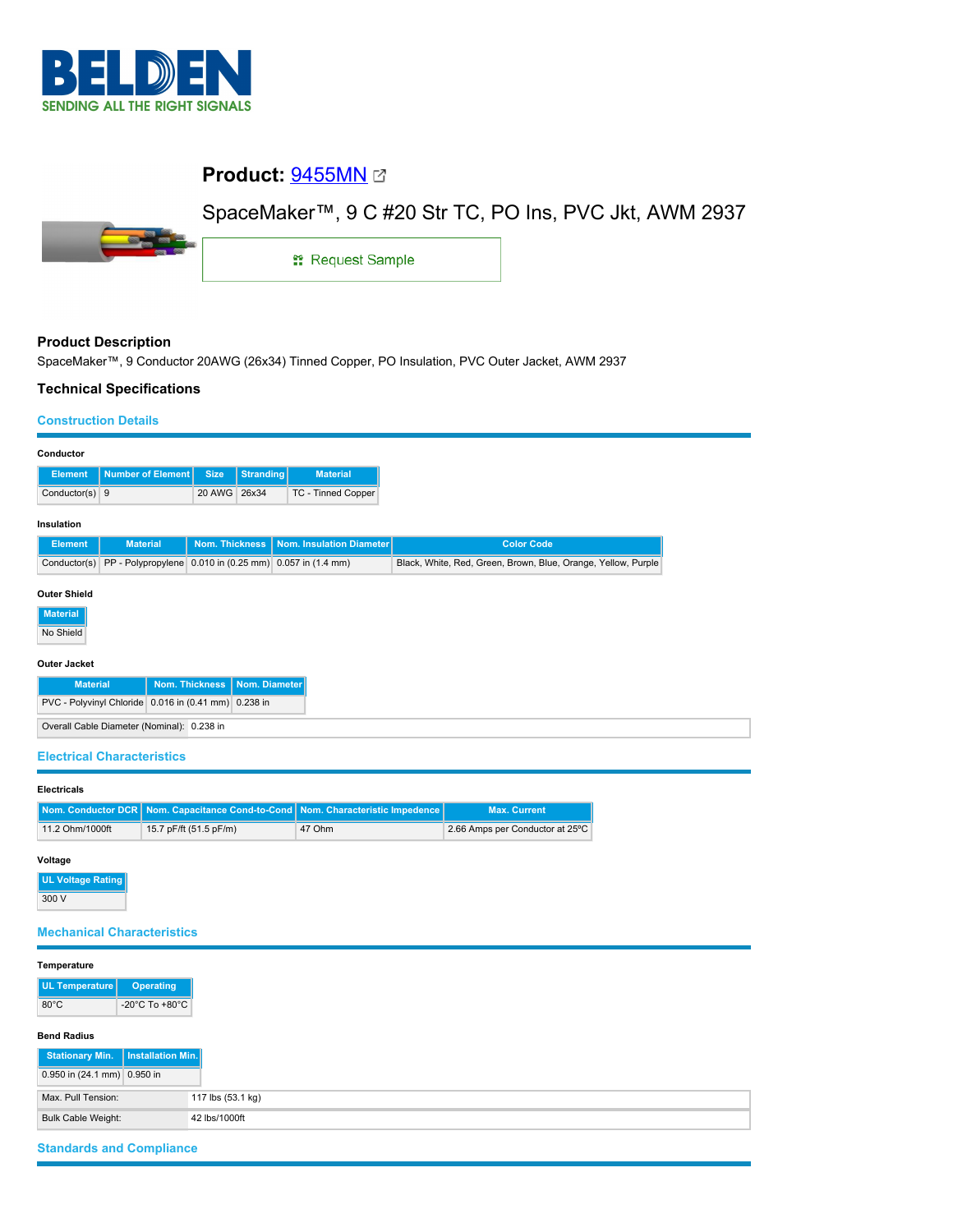

# **Product:** [9455MN](https://catalog.belden.com/index.cfm?event=pd&p=PF_9455MN&tab=downloads)

# SpaceMaker™, 9 C #20 Str TC, PO Ins, PVC Jkt, AWM 2937



1: Request Sample

### **Product Description**

SpaceMaker™, 9 Conductor 20AWG (26x34) Tinned Copper, PO Insulation, PVC Outer Jacket, AWM 2937

#### **Technical Specifications**

#### **Construction Details**

| Conductor                                            |                                                         |                       |           |                          |                                                               |  |  |  |  |
|------------------------------------------------------|---------------------------------------------------------|-----------------------|-----------|--------------------------|---------------------------------------------------------------|--|--|--|--|
| <b>Element</b>                                       | Number of Element                                       | <b>Size</b>           | Stranding | <b>Material</b>          |                                                               |  |  |  |  |
| Conductor(s) $9$                                     |                                                         | 20 AWG                | 26x34     | TC - Tinned Copper       |                                                               |  |  |  |  |
| Insulation                                           |                                                         |                       |           |                          |                                                               |  |  |  |  |
| <b>Element</b>                                       | <b>Material</b>                                         | <b>Nom. Thickness</b> |           | Nom. Insulation Diameter | <b>Color Code</b>                                             |  |  |  |  |
| Conductor(s)                                         | PP - Polypropylene 0.010 in (0.25 mm) 0.057 in (1.4 mm) |                       |           |                          | Black, White, Red, Green, Brown, Blue, Orange, Yellow, Purple |  |  |  |  |
| <b>Outer Shield</b><br><b>Material</b><br>No Shield  |                                                         |                       |           |                          |                                                               |  |  |  |  |
| <b>Outer Jacket</b>                                  |                                                         |                       |           |                          |                                                               |  |  |  |  |
| Nom. Thickness<br>Nom. Diameter<br><b>Material</b>   |                                                         |                       |           |                          |                                                               |  |  |  |  |
| PVC - Polyvinyl Chloride 0.016 in (0.41 mm) 0.238 in |                                                         |                       |           |                          |                                                               |  |  |  |  |
| Overall Cable Diameter (Nominal): 0.238 in           |                                                         |                       |           |                          |                                                               |  |  |  |  |

#### **Electrical Characteristics**

## **Electricals**

|                 | Nom. Conductor DCR Nom. Capacitance Cond-to-Cond Nom. Characteristic Impedence |        | <b>Max. Current</b>             |
|-----------------|--------------------------------------------------------------------------------|--------|---------------------------------|
| 11.2 Ohm/1000ft | 15.7 pF/ft (51.5 pF/m)                                                         | 47 Ohm | 2.66 Amps per Conductor at 25°C |

#### **Voltage**

**UL Voltage Rating** 300 V

### **Mechanical Characteristics**

| Temperature                 |                                      |
|-----------------------------|--------------------------------------|
| UL Temperature              | <b>Operating</b>                     |
| $80^{\circ}$ C              | -20 $^{\circ}$ C To +80 $^{\circ}$ C |
| <b>Bend Radius</b>          |                                      |
| <b>Stationary Min.</b>      | Installation Min.                    |
| 0.950 in (24.1 mm) 0.950 in |                                      |
| Max. Pull Tension:          | 117 lbs (53.1 kg)                    |
| <b>Bulk Cable Weight:</b>   | 42 lbs/1000ft                        |

## **Standards and Compliance**